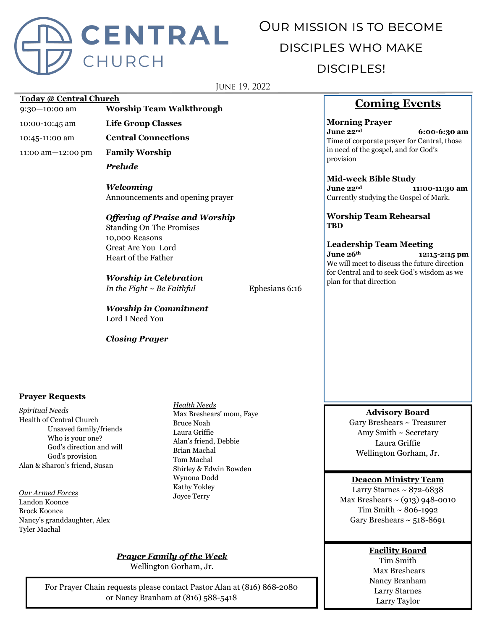

# Our mission is to become disciples who make disciples!

**JUNE 19, 2022** 

#### **Today @ Central Church**

9:30—10:00 am **Worship Team Walkthrough**

10:00-10:45 am **Life Group Classes**

10:45-11:00 am **Central Connections**

11:00 am—12:00 pm **Family Worship**

*Prelude*

*Welcoming* Announcements and opening prayer

## *Offering of Praise and Worship*

Standing On The Promises 10,000 Reasons Great Are You Lord Heart of the Father

# *Worship in Celebration*

*In the Fight ~ Be Faithful* Ephesians 6:16

*Worship in Commitment* Lord I Need You

*Closing Prayer*

# **Coming Events**

**Morning Prayer June 22nd 6:00-6:30 am** Time of corporate prayer for Central, those in need of the gospel, and for God's provision

#### **Mid-week Bible Study**

**June 22nd 11:00-11:30 am** Currently studying the Gospel of Mark.

**Worship Team Rehearsal TBD**

**Leadership Team Meeting June 26th 12:15-2:15 pm** We will meet to discuss the future direction for Central and to seek God's wisdom as we plan for that direction

## **Prayer Requests**

*Spiritual Needs* Health of Central Church Unsaved family/friends Who is your one? God's direction and will God's provision Alan & Sharon's friend, Susan

*Our Armed Forces* Landon Koonce Brock Koonce Nancy's granddaughter, Alex Tyler Machal

*Health Needs* Max Breshears' mom, Faye Bruce Noah Laura Griffie Alan's friend, Debbie Brian Machal Tom Machal Shirley & Edwin Bowden Wynona Dodd Kathy Yokley Joyce Terry

*Prayer Family of the Week*

Wellington Gorham, Jr.

For Prayer Chain requests please contact Pastor Alan at (816) 868-2080 or Nancy Branham at (816) 588-5418

# **Advisory Board**

Gary Breshears ~ Treasurer Amy Smith ~ Secretary Laura Griffie Wellington Gorham, Jr.

## **Deacon Ministry Team**

Larry Starnes  $\sim 872 - 6838$ Max Breshears  $\sim$  (913) 948-0010 Tim Smith ~ 806-1992 Gary Breshears  $\sim$  518-8691

# **Facility Board**

Tim Smith Max Breshears Nancy Branham Larry Starnes Larry Taylor